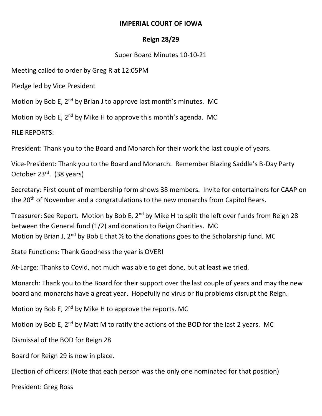## **IMPERIAL COURT OF IOWA**

## **Reign 28/29**

## Super Board Minutes 10-10-21

Meeting called to order by Greg R at 12:05PM

Pledge led by Vice President

Motion by Bob E,  $2^{nd}$  by Brian J to approve last month's minutes. MC

Motion by Bob E,  $2^{nd}$  by Mike H to approve this month's agenda. MC

FILE REPORTS:

President: Thank you to the Board and Monarch for their work the last couple of years.

Vice-President: Thank you to the Board and Monarch. Remember Blazing Saddle's B-Day Party October 23rd. (38 years)

Secretary: First count of membership form shows 38 members. Invite for entertainers for CAAP on the 20<sup>th</sup> of November and a congratulations to the new monarchs from Capitol Bears.

Treasurer: See Report. Motion by Bob E, 2<sup>nd</sup> by Mike H to split the left over funds from Reign 28 between the General fund (1/2) and donation to Reign Charities. MC Motion by Brian J, 2<sup>nd</sup> by Bob E that  $\frac{1}{2}$  to the donations goes to the Scholarship fund. MC

State Functions: Thank Goodness the year is OVER!

At-Large: Thanks to Covid, not much was able to get done, but at least we tried.

Monarch: Thank you to the Board for their support over the last couple of years and may the new board and monarchs have a great year. Hopefully no virus or flu problems disrupt the Reign.

Motion by Bob E,  $2^{nd}$  by Mike H to approve the reports. MC

Motion by Bob E,  $2^{nd}$  by Matt M to ratify the actions of the BOD for the last 2 years. MC

Dismissal of the BOD for Reign 28

Board for Reign 29 is now in place.

Election of officers: (Note that each person was the only one nominated for that position)

President: Greg Ross